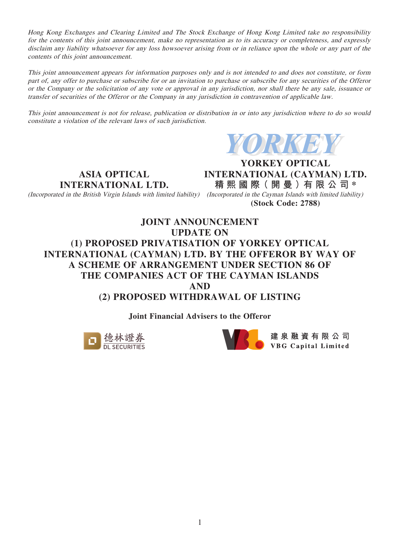Hong Kong Exchanges and Clearing Limited and The Stock Exchange of Hong Kong Limited take no responsibility for the contents of this joint announcement, make no representation as to its accuracy or completeness, and expressly disclaim any liability whatsoever for any loss howsoever arising from or in reliance upon the whole or any part of the contents of this joint announcement.

This joint announcement appears for information purposes only and is not intended to and does not constitute, or form part of, any offer to purchase or subscribe for or an invitation to purchase or subscribe for any securities of the Offeror or the Company or the solicitation of any vote or approval in any jurisdiction, nor shall there be any sale, issuance or transfer of securities of the Offeror or the Company in any jurisdiction in contravention of applicable law.

This joint announcement is not for release, publication or distribution in or into any jurisdiction where to do so would constitute a violation of the relevant laws of such jurisdiction.



**ASIA OPTICAL INTERNATIONAL LTD.**

(Incorporated in the British Virgin Islands with limited liability) (Incorporated in the Cayman Islands with limited liability)

**YORKEY OPTICAL INTERNATIONAL (CAYMAN) LTD. 精 熙 國 際( 開 曼 )有 限 公 司 \***

**(Stock Code: 2788)**

# **JOINT ANNOUNCEMENT UPDATE ON (1) PROPOSED PRIVATISATION OF YORKEY OPTICAL INTERNATIONAL (CAYMAN) LTD. BY THE OFFEROR BY WAY OF A SCHEME OF ARRANGEMENT UNDER SECTION 86 OF THE COMPANIES ACT OF THE CAYMAN ISLANDS AND (2) PROPOSED WITHDRAWAL OF LISTING**

**Joint Financial Advisers to the Offeror**



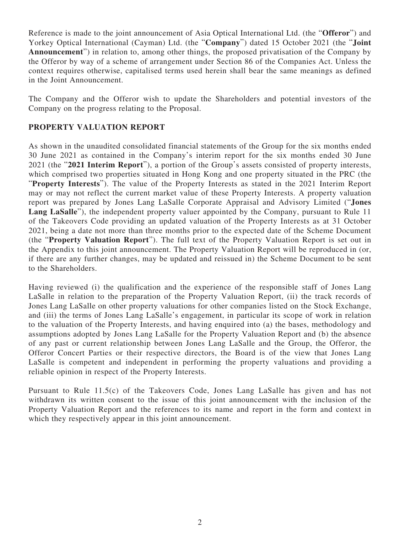Reference is made to the joint announcement of Asia Optical International Ltd. (the "**Offeror**") and Yorkey Optical International (Cayman) Ltd. (the "**Company**") dated 15 October 2021 (the "**Joint Announcement**") in relation to, among other things, the proposed privatisation of the Company by the Offeror by way of a scheme of arrangement under Section 86 of the Companies Act. Unless the context requires otherwise, capitalised terms used herein shall bear the same meanings as defined in the Joint Announcement.

The Company and the Offeror wish to update the Shareholders and potential investors of the Company on the progress relating to the Proposal.

# **PROPERTY VALUATION REPORT**

As shown in the unaudited consolidated financial statements of the Group for the six months ended 30 June 2021 as contained in the Company's interim report for the six months ended 30 June 2021 (the "**2021 Interim Report**"), a portion of the Group's assets consisted of property interests, which comprised two properties situated in Hong Kong and one property situated in the PRC (the "**Property Interests**"). The value of the Property Interests as stated in the 2021 Interim Report may or may not reflect the current market value of these Property Interests. A property valuation report was prepared by Jones Lang LaSalle Corporate Appraisal and Advisory Limited ("**Jones**  Lang LaSalle<sup>"</sup>), the independent property valuer appointed by the Company, pursuant to Rule 11 of the Takeovers Code providing an updated valuation of the Property Interests as at 31 October 2021, being a date not more than three months prior to the expected date of the Scheme Document (the "**Property Valuation Report**"). The full text of the Property Valuation Report is set out in the Appendix to this joint announcement. The Property Valuation Report will be reproduced in (or, if there are any further changes, may be updated and reissued in) the Scheme Document to be sent to the Shareholders.

Having reviewed (i) the qualification and the experience of the responsible staff of Jones Lang LaSalle in relation to the preparation of the Property Valuation Report, (ii) the track records of Jones Lang LaSalle on other property valuations for other companies listed on the Stock Exchange, and (iii) the terms of Jones Lang LaSalle's engagement, in particular its scope of work in relation to the valuation of the Property Interests, and having enquired into (a) the bases, methodology and assumptions adopted by Jones Lang LaSalle for the Property Valuation Report and (b) the absence of any past or current relationship between Jones Lang LaSalle and the Group, the Offeror, the Offeror Concert Parties or their respective directors, the Board is of the view that Jones Lang LaSalle is competent and independent in performing the property valuations and providing a reliable opinion in respect of the Property Interests.

Pursuant to Rule 11.5(c) of the Takeovers Code, Jones Lang LaSalle has given and has not withdrawn its written consent to the issue of this joint announcement with the inclusion of the Property Valuation Report and the references to its name and report in the form and context in which they respectively appear in this joint announcement.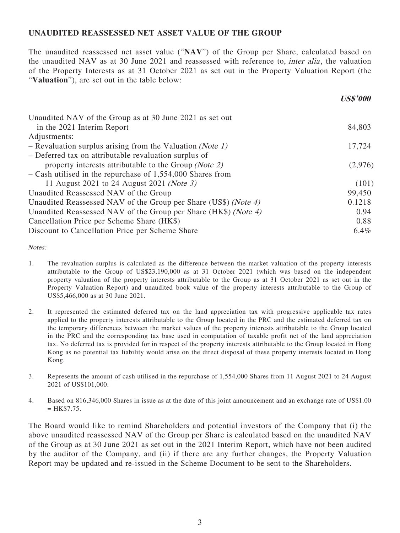### **UNAUDITED REASSESSED NET ASSET VALUE OF THE GROUP**

The unaudited reassessed net asset value ("**NAV**") of the Group per Share, calculated based on the unaudited NAV as at 30 June 2021 and reassessed with reference to, *inter alia*, the valuation of the Property Interests as at 31 October 2021 as set out in the Property Valuation Report (the "**Valuation**"), are set out in the table below:

**US\$'000**

| Unaudited NAV of the Group as at 30 June 2021 as set out        |         |
|-----------------------------------------------------------------|---------|
| in the 2021 Interim Report                                      | 84,803  |
| Adjustments:                                                    |         |
| - Revaluation surplus arising from the Valuation (Note 1)       | 17,724  |
| - Deferred tax on attributable revaluation surplus of           |         |
| property interests attributable to the Group (Note 2)           | (2,976) |
| - Cash utilised in the repurchase of 1,554,000 Shares from      |         |
| 11 August 2021 to 24 August 2021 ( <i>Note 3</i> )              | (101)   |
| Unaudited Reassessed NAV of the Group                           | 99,450  |
| Unaudited Reassessed NAV of the Group per Share (US\$) (Note 4) | 0.1218  |
| Unaudited Reassessed NAV of the Group per Share (HK\$) (Note 4) | 0.94    |
| Cancellation Price per Scheme Share (HK\$)                      | 0.88    |
| Discount to Cancellation Price per Scheme Share                 | $6.4\%$ |
|                                                                 |         |

Notes:

- 1. The revaluation surplus is calculated as the difference between the market valuation of the property interests attributable to the Group of US\$23,190,000 as at 31 October 2021 (which was based on the independent property valuation of the property interests attributable to the Group as at 31 October 2021 as set out in the Property Valuation Report) and unaudited book value of the property interests attributable to the Group of US\$5,466,000 as at 30 June 2021.
- 2. It represented the estimated deferred tax on the land appreciation tax with progressive applicable tax rates applied to the property interests attributable to the Group located in the PRC and the estimated deferred tax on the temporary differences between the market values of the property interests attributable to the Group located in the PRC and the corresponding tax base used in computation of taxable profit net of the land appreciation tax. No deferred tax is provided for in respect of the property interests attributable to the Group located in Hong Kong as no potential tax liability would arise on the direct disposal of these property interests located in Hong Kong.
- 3. Represents the amount of cash utilised in the repurchase of 1,554,000 Shares from 11 August 2021 to 24 August 2021 of US\$101,000.
- 4. Based on 816,346,000 Shares in issue as at the date of this joint announcement and an exchange rate of US\$1.00  $=$  HK\$7.75.

The Board would like to remind Shareholders and potential investors of the Company that (i) the above unaudited reassessed NAV of the Group per Share is calculated based on the unaudited NAV of the Group as at 30 June 2021 as set out in the 2021 Interim Report, which have not been audited by the auditor of the Company, and (ii) if there are any further changes, the Property Valuation Report may be updated and re-issued in the Scheme Document to be sent to the Shareholders.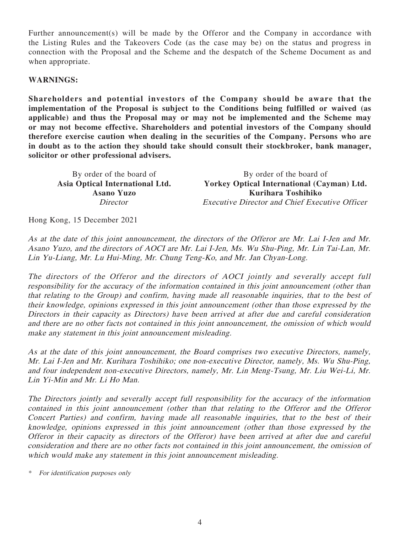Further announcement(s) will be made by the Offeror and the Company in accordance with the Listing Rules and the Takeovers Code (as the case may be) on the status and progress in connection with the Proposal and the Scheme and the despatch of the Scheme Document as and when appropriate.

#### **WARNINGS:**

**Shareholders and potential investors of the Company should be aware that the implementation of the Proposal is subject to the Conditions being fulfilled or waived (as applicable) and thus the Proposal may or may not be implemented and the Scheme may or may not become effective. Shareholders and potential investors of the Company should therefore exercise caution when dealing in the securities of the Company. Persons who are in doubt as to the action they should take should consult their stockbroker, bank manager, solicitor or other professional advisers.**

By order of the board of By order of the board of **Asia Optical International Ltd. Yorkey Optical International (Cayman) Ltd. Asano Yuzo Kurihara Toshihiko** Director Executive Director and Chief Executive Officer

Hong Kong, 15 December 2021

As at the date of this joint announcement, the directors of the Offeror are Mr. Lai I-Jen and Mr. Asano Yuzo, and the directors of AOCI are Mr. Lai I-Jen, Ms. Wu Shu-Ping, Mr. Lin Tai-Lan, Mr. Lin Yu-Liang, Mr. Lu Hui-Ming, Mr. Chung Teng-Ko, and Mr. Jan Chyan-Long.

The directors of the Offeror and the directors of AOCI jointly and severally accept full responsibility for the accuracy of the information contained in this joint announcement (other than that relating to the Group) and confirm, having made all reasonable inquiries, that to the best of their knowledge, opinions expressed in this joint announcement (other than those expressed by the Directors in their capacity as Directors) have been arrived at after due and careful consideration and there are no other facts not contained in this joint announcement, the omission of which would make any statement in this joint announcement misleading.

As at the date of this joint announcement, the Board comprises two executive Directors, namely, Mr. Lai I-Jen and Mr. Kurihara Toshihiko; one non-executive Director, namely, Ms. Wu Shu-Ping, and four independent non-executive Directors, namely, Mr. Lin Meng-Tsung, Mr. Liu Wei-Li, Mr. Lin Yi-Min and Mr. Li Ho Man.

The Directors jointly and severally accept full responsibility for the accuracy of the information contained in this joint announcement (other than that relating to the Offeror and the Offeror Concert Parties) and confirm, having made all reasonable inquiries, that to the best of their knowledge, opinions expressed in this joint announcement (other than those expressed by the Offeror in their capacity as directors of the Offeror) have been arrived at after due and careful consideration and there are no other facts not contained in this joint announcement, the omission of which would make any statement in this joint announcement misleading.

\* For identification purposes only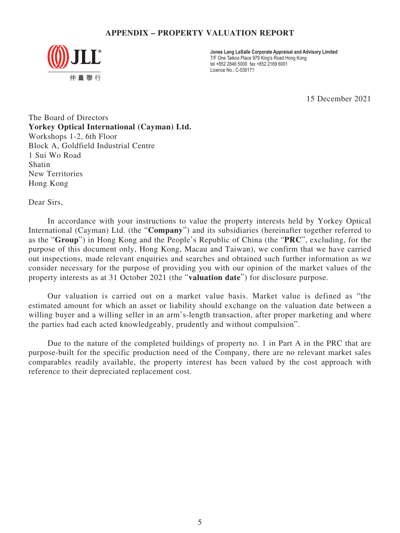## **APPENDIX – PROPERTY VALUATION REPORT**



**Jones Lang LaSalle Corporate Appraisal and Advisory Limited** 7/F One Taikoo Place 979 King's Road Hong Kong tel +852 2846 5000 fax +852 2169 6001 Licence No.: C-030171

15 December 2021

The Board of Directors **Yorkey Optical International (Cayman) Ltd.** Workshops 1-2, 6th Floor Block A, Goldfield Industrial Centre 1 Sui Wo Road Shatin New Territories Hong Kong

Dear Sirs,

In accordance with your instructions to value the property interests held by Yorkey Optical International (Cayman) Ltd. (the "**Company**") and its subsidiaries (hereinafter together referred to as the "**Group**") in Hong Kong and the People's Republic of China (the "**PRC**", excluding, for the purpose of this document only, Hong Kong, Macau and Taiwan), we confirm that we have carried out inspections, made relevant enquiries and searches and obtained such further information as we consider necessary for the purpose of providing you with our opinion of the market values of the property interests as at 31 October 2021 (the "**valuation date**") for disclosure purpose.

Our valuation is carried out on a market value basis. Market value is defined as "the estimated amount for which an asset or liability should exchange on the valuation date between a willing buyer and a willing seller in an arm's-length transaction, after proper marketing and where the parties had each acted knowledgeably, prudently and without compulsion".

Due to the nature of the completed buildings of property no. 1 in Part A in the PRC that are purpose-built for the specific production need of the Company, there are no relevant market sales comparables readily available, the property interest has been valued by the cost approach with reference to their depreciated replacement cost.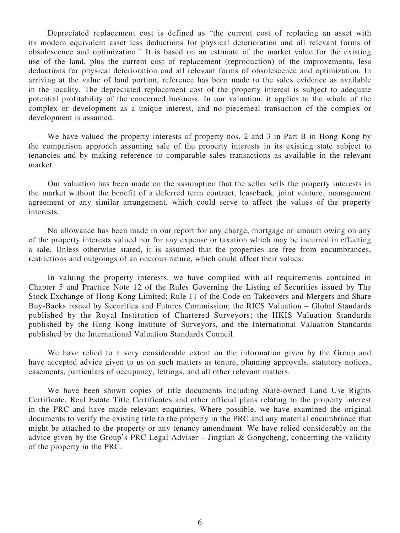Depreciated replacement cost is defined as "the current cost of replacing an asset with its modern equivalent asset less deductions for physical deterioration and all relevant forms of obsolescence and optimization." It is based on an estimate of the market value for the existing use of the land, plus the current cost of replacement (reproduction) of the improvements, less deductions for physical deterioration and all relevant forms of obsolescence and optimization. In arriving at the value of land portion, reference has been made to the sales evidence as available in the locality. The depreciated replacement cost of the property interest is subject to adequate potential profitability of the concerned business. In our valuation, it applies to the whole of the complex or development as a unique interest, and no piecemeal transaction of the complex or development is assumed.

We have valued the property interests of property nos. 2 and 3 in Part B in Hong Kong by the comparison approach assuming sale of the property interests in its existing state subject to tenancies and by making reference to comparable sales transactions as available in the relevant market.

Our valuation has been made on the assumption that the seller sells the property interests in the market without the benefit of a deferred term contract, leaseback, joint venture, management agreement or any similar arrangement, which could serve to affect the values of the property interests.

No allowance has been made in our report for any charge, mortgage or amount owing on any of the property interests valued nor for any expense or taxation which may be incurred in effecting a sale. Unless otherwise stated, it is assumed that the properties are free from encumbrances, restrictions and outgoings of an onerous nature, which could affect their values.

In valuing the property interests, we have complied with all requirements contained in Chapter 5 and Practice Note 12 of the Rules Governing the Listing of Securities issued by The Stock Exchange of Hong Kong Limited; Rule 11 of the Code on Takeovers and Mergers and Share Buy-Backs issued by Securities and Futures Commission; the RICS Valuation – Global Standards published by the Royal Institution of Chartered Surveyors; the HKIS Valuation Standards published by the Hong Kong Institute of Surveyors, and the International Valuation Standards published by the International Valuation Standards Council.

We have relied to a very considerable extent on the information given by the Group and have accepted advice given to us on such matters as tenure, planning approvals, statutory notices, easements, particulars of occupancy, lettings, and all other relevant matters.

We have been shown copies of title documents including State-owned Land Use Rights Certificate, Real Estate Title Certificates and other official plans relating to the property interest in the PRC and have made relevant enquiries. Where possible, we have examined the original documents to verify the existing title to the property in the PRC and any material encumbrance that might be attached to the property or any tenancy amendment. We have relied considerably on the advice given by the Group's PRC Legal Adviser – Jingtian & Gongcheng, concerning the validity of the property in the PRC.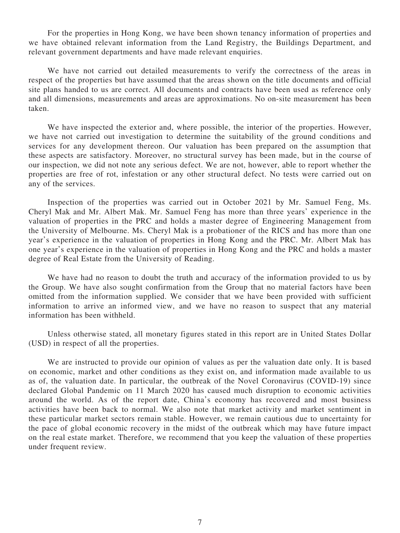For the properties in Hong Kong, we have been shown tenancy information of properties and we have obtained relevant information from the Land Registry, the Buildings Department, and relevant government departments and have made relevant enquiries.

We have not carried out detailed measurements to verify the correctness of the areas in respect of the properties but have assumed that the areas shown on the title documents and official site plans handed to us are correct. All documents and contracts have been used as reference only and all dimensions, measurements and areas are approximations. No on-site measurement has been taken.

We have inspected the exterior and, where possible, the interior of the properties. However, we have not carried out investigation to determine the suitability of the ground conditions and services for any development thereon. Our valuation has been prepared on the assumption that these aspects are satisfactory. Moreover, no structural survey has been made, but in the course of our inspection, we did not note any serious defect. We are not, however, able to report whether the properties are free of rot, infestation or any other structural defect. No tests were carried out on any of the services.

Inspection of the properties was carried out in October 2021 by Mr. Samuel Feng, Ms. Cheryl Mak and Mr. Albert Mak. Mr. Samuel Feng has more than three years' experience in the valuation of properties in the PRC and holds a master degree of Engineering Management from the University of Melbourne. Ms. Cheryl Mak is a probationer of the RICS and has more than one year's experience in the valuation of properties in Hong Kong and the PRC. Mr. Albert Mak has one year's experience in the valuation of properties in Hong Kong and the PRC and holds a master degree of Real Estate from the University of Reading.

We have had no reason to doubt the truth and accuracy of the information provided to us by the Group. We have also sought confirmation from the Group that no material factors have been omitted from the information supplied. We consider that we have been provided with sufficient information to arrive an informed view, and we have no reason to suspect that any material information has been withheld.

Unless otherwise stated, all monetary figures stated in this report are in United States Dollar (USD) in respect of all the properties.

We are instructed to provide our opinion of values as per the valuation date only. It is based on economic, market and other conditions as they exist on, and information made available to us as of, the valuation date. In particular, the outbreak of the Novel Coronavirus (COVID-19) since declared Global Pandemic on 11 March 2020 has caused much disruption to economic activities around the world. As of the report date, China's economy has recovered and most business activities have been back to normal. We also note that market activity and market sentiment in these particular market sectors remain stable. However, we remain cautious due to uncertainty for the pace of global economic recovery in the midst of the outbreak which may have future impact on the real estate market. Therefore, we recommend that you keep the valuation of these properties under frequent review.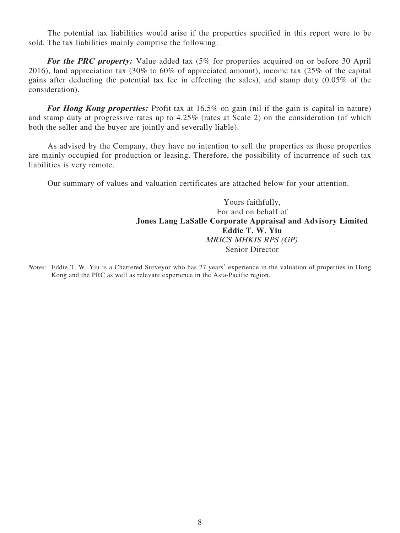The potential tax liabilities would arise if the properties specified in this report were to be sold. The tax liabilities mainly comprise the following:

For the PRC property: Value added tax  $(5\%$  for properties acquired on or before 30 April 2016), land appreciation tax (30% to 60% of appreciated amount), income tax (25% of the capital gains after deducting the potential tax fee in effecting the sales), and stamp duty (0.05% of the consideration).

For Hong Kong properties: Profit tax at 16.5% on gain (nil if the gain is capital in nature) and stamp duty at progressive rates up to 4.25% (rates at Scale 2) on the consideration (of which both the seller and the buyer are jointly and severally liable).

As advised by the Company, they have no intention to sell the properties as those properties are mainly occupied for production or leasing. Therefore, the possibility of incurrence of such tax liabilities is very remote.

Our summary of values and valuation certificates are attached below for your attention.

Yours faithfully, For and on behalf of **Jones Lang LaSalle Corporate Appraisal and Advisory Limited Eddie T. W. Yiu** MRICS MHKIS RPS (GP) Senior Director

Notes: Eddie T. W. Yiu is a Chartered Surveyor who has 27 years' experience in the valuation of properties in Hong Kong and the PRC as well as relevant experience in the Asia-Pacific region.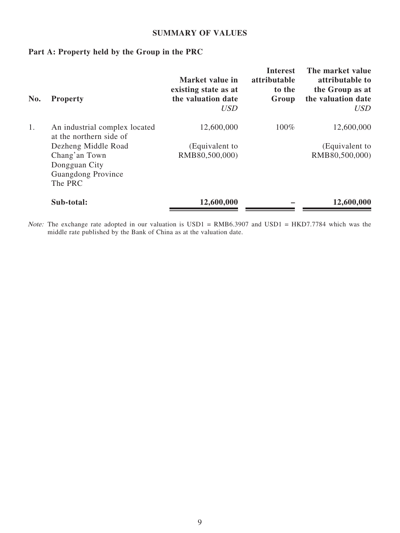#### **SUMMARY OF VALUES**

# **Part A: Property held by the Group in the PRC**

| No. | <b>Property</b>                                                 | Market value in<br>existing state as at<br>the valuation date<br><i>USD</i> | <b>Interest</b><br>attributable<br>to the<br>Group | The market value<br>attributable to<br>the Group as at<br>the valuation date<br><b>USD</b> |
|-----|-----------------------------------------------------------------|-----------------------------------------------------------------------------|----------------------------------------------------|--------------------------------------------------------------------------------------------|
| 1.  | An industrial complex located<br>at the northern side of        | 12,600,000                                                                  | $100\%$                                            | 12,600,000                                                                                 |
|     | Dezheng Middle Road                                             | (Equivalent to                                                              |                                                    | (Equivalent to                                                                             |
|     | Chang'an Town<br>Dongguan City<br>Guangdong Province<br>The PRC | RMB80,500,000)                                                              |                                                    | RMB80,500,000)                                                                             |
|     | Sub-total:                                                      | 12,600,000                                                                  |                                                    | 12,600,000                                                                                 |

Note: The exchange rate adopted in our valuation is USD1 = RMB6.3907 and USD1 = HKD7.7784 which was the middle rate published by the Bank of China as at the valuation date.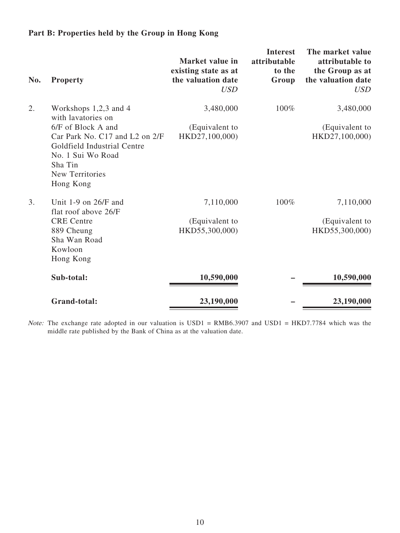# **Part B: Properties held by the Group in Hong Kong**

| No. | <b>Property</b>                                                                                                                                            | Market value in<br>existing state as at<br>the valuation date<br><b>USD</b> | <b>Interest</b><br>attributable<br>to the<br>Group | The market value<br>attributable to<br>the Group as at<br>the valuation date<br><b>USD</b> |
|-----|------------------------------------------------------------------------------------------------------------------------------------------------------------|-----------------------------------------------------------------------------|----------------------------------------------------|--------------------------------------------------------------------------------------------|
| 2.  | Workshops $1,2,3$ and 4<br>with lavatories on                                                                                                              | 3,480,000                                                                   | 100%                                               | 3,480,000                                                                                  |
|     | 6/F of Block A and<br>Car Park No. C17 and L2 on 2/F<br>Goldfield Industrial Centre<br>No. 1 Sui Wo Road<br>Sha Tin<br><b>New Territories</b><br>Hong Kong | (Equivalent to<br>HKD27,100,000)                                            |                                                    | (Equivalent to<br>HKD27,100,000)                                                           |
| 3.  | Unit 1-9 on $26/F$ and<br>flat roof above 26/F<br><b>CRE</b> Centre                                                                                        | 7,110,000<br>(Equivalent to                                                 | 100%                                               | 7,110,000<br>(Equivalent to                                                                |
|     | 889 Cheung<br>Sha Wan Road<br>Kowloon<br>Hong Kong                                                                                                         | HKD55,300,000)                                                              |                                                    | HKD55,300,000)                                                                             |
|     | Sub-total:                                                                                                                                                 | 10,590,000                                                                  |                                                    | 10,590,000                                                                                 |
|     | <b>Grand-total:</b>                                                                                                                                        | 23,190,000                                                                  |                                                    | 23,190,000                                                                                 |

Note: The exchange rate adopted in our valuation is USD1 = RMB6.3907 and USD1 = HKD7.7784 which was the middle rate published by the Bank of China as at the valuation date.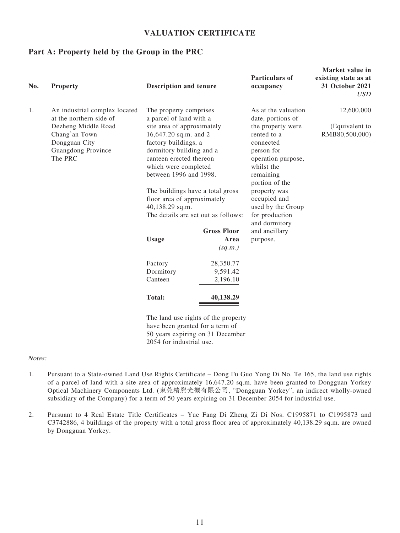## **VALUATION CERTIFICATE**

#### **Part A: Property held by the Group in the PRC**

| No. | <b>Property</b>                                                                        | <b>Description and tenure</b>                                                                                                                                                        |                                       | <b>Particulars of</b><br>occupancy                                                                                             | Market value in<br>existing state as at<br>31 October 2021<br><i>USD</i> |
|-----|----------------------------------------------------------------------------------------|--------------------------------------------------------------------------------------------------------------------------------------------------------------------------------------|---------------------------------------|--------------------------------------------------------------------------------------------------------------------------------|--------------------------------------------------------------------------|
| 1.  | An industrial complex located<br>at the northern side of                               | The property comprises<br>a parcel of land with a                                                                                                                                    |                                       | As at the valuation<br>date, portions of                                                                                       | 12,600,000                                                               |
|     | Dezheng Middle Road<br>Chang'an Town<br>Dongguan City<br>Guangdong Province<br>The PRC | site area of approximately<br>16,647.20 sq.m. and 2<br>factory buildings, a<br>dormitory building and a<br>canteen erected thereon<br>which were completed<br>between 1996 and 1998. |                                       | the property were<br>rented to a<br>connected<br>person for<br>operation purpose,<br>whilst the<br>remaining<br>portion of the | (Equivalent to<br>RMB80,500,000)                                         |
|     |                                                                                        | The buildings have a total gross<br>floor area of approximately<br>40,138.29 sq.m.<br>The details are set out as follows:                                                            |                                       | property was<br>occupied and<br>used by the Group<br>for production                                                            |                                                                          |
|     |                                                                                        |                                                                                                                                                                                      |                                       | and dormitory                                                                                                                  |                                                                          |
|     |                                                                                        | <b>Usage</b>                                                                                                                                                                         | <b>Gross Floor</b><br>Area<br>(sq.m.) | and ancillary<br>purpose.                                                                                                      |                                                                          |
|     |                                                                                        | Factory                                                                                                                                                                              | 28,350.77                             |                                                                                                                                |                                                                          |
|     |                                                                                        | Dormitory                                                                                                                                                                            | 9,591.42                              |                                                                                                                                |                                                                          |
|     |                                                                                        | Canteen                                                                                                                                                                              | 2,196.10                              |                                                                                                                                |                                                                          |
|     |                                                                                        | <b>Total:</b>                                                                                                                                                                        | 40,138.29                             |                                                                                                                                |                                                                          |
|     |                                                                                        |                                                                                                                                                                                      | The land use rights of the property   |                                                                                                                                |                                                                          |

The land use rights of the property have been granted for a term of 50 years expiring on 31 December 2054 for industrial use.

#### Notes:

- 1. Pursuant to a State-owned Land Use Rights Certificate Dong Fu Guo Yong Di No. Te 165, the land use rights of a parcel of land with a site area of approximately 16,647.20 sq.m. have been granted to Dongguan Yorkey Optical Machinery Components Ltd. (東莞精熙光機有限公司, "Dongguan Yorkey", an indirect wholly-owned subsidiary of the Company) for a term of 50 years expiring on 31 December 2054 for industrial use.
- 2. Pursuant to 4 Real Estate Title Certificates Yue Fang Di Zheng Zi Di Nos. C1995871 to C1995873 and C3742886, 4 buildings of the property with a total gross floor area of approximately 40,138.29 sq.m. are owned by Dongguan Yorkey.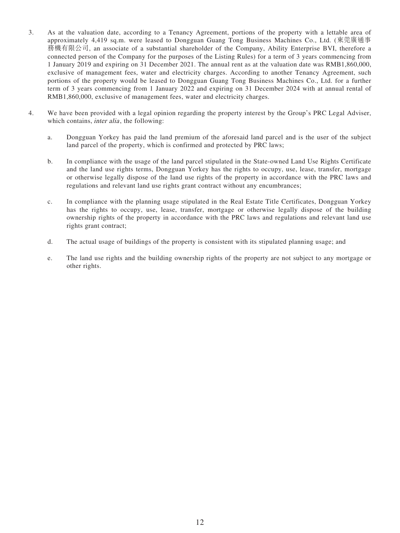- 3. As at the valuation date, according to a Tenancy Agreement, portions of the property with a lettable area of approximately 4,419 sq.m. were leased to Dongguan Guang Tong Business Machines Co., Ltd. (東莞廣通事 務機有限公司, an associate of a substantial shareholder of the Company, Ability Enterprise BVI, therefore a connected person of the Company for the purposes of the Listing Rules) for a term of 3 years commencing from 1 January 2019 and expiring on 31 December 2021. The annual rent as at the valuation date was RMB1,860,000, exclusive of management fees, water and electricity charges. According to another Tenancy Agreement, such portions of the property would be leased to Dongguan Guang Tong Business Machines Co., Ltd. for a further term of 3 years commencing from 1 January 2022 and expiring on 31 December 2024 with at annual rental of RMB1,860,000, exclusive of management fees, water and electricity charges.
- 4. We have been provided with a legal opinion regarding the property interest by the Group's PRC Legal Adviser, which contains, *inter alia*, the following:
	- a. Dongguan Yorkey has paid the land premium of the aforesaid land parcel and is the user of the subject land parcel of the property, which is confirmed and protected by PRC laws;
	- b. In compliance with the usage of the land parcel stipulated in the State-owned Land Use Rights Certificate and the land use rights terms, Dongguan Yorkey has the rights to occupy, use, lease, transfer, mortgage or otherwise legally dispose of the land use rights of the property in accordance with the PRC laws and regulations and relevant land use rights grant contract without any encumbrances;
	- c. In compliance with the planning usage stipulated in the Real Estate Title Certificates, Dongguan Yorkey has the rights to occupy, use, lease, transfer, mortgage or otherwise legally dispose of the building ownership rights of the property in accordance with the PRC laws and regulations and relevant land use rights grant contract;
	- d. The actual usage of buildings of the property is consistent with its stipulated planning usage; and
	- e. The land use rights and the building ownership rights of the property are not subject to any mortgage or other rights.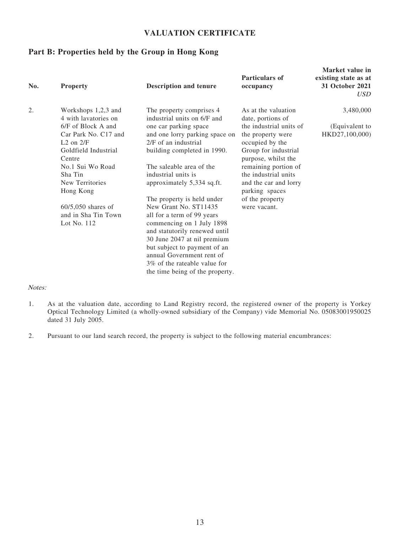## **VALUATION CERTIFICATE**

## **Part B: Properties held by the Group in Hong Kong**

| No. | <b>Property</b>                                                                                                                                                                                                                                                           | <b>Description and tenure</b>                                                                                                                                                                                                                                                                                                                                                                                                                                                                             | <b>Particulars of</b><br>occupancy                                                                                                                                                                                                                                                       | Market value in<br>existing state as at<br>31 October 2021<br><i>USD</i> |
|-----|---------------------------------------------------------------------------------------------------------------------------------------------------------------------------------------------------------------------------------------------------------------------------|-----------------------------------------------------------------------------------------------------------------------------------------------------------------------------------------------------------------------------------------------------------------------------------------------------------------------------------------------------------------------------------------------------------------------------------------------------------------------------------------------------------|------------------------------------------------------------------------------------------------------------------------------------------------------------------------------------------------------------------------------------------------------------------------------------------|--------------------------------------------------------------------------|
| 2.  | Workshops 1,2,3 and<br>4 with lavatories on<br>6/F of Block A and<br>Car Park No. C17 and<br>$L2$ on $2/F$<br>Goldfield Industrial<br>Centre<br>No.1 Sui Wo Road<br>Sha Tin<br>New Territories<br>Hong Kong<br>$60/5,050$ shares of<br>and in Sha Tin Town<br>Lot No. 112 | The property comprises 4<br>industrial units on 6/F and<br>one car parking space<br>and one lorry parking space on<br>2/F of an industrial<br>building completed in 1990.<br>The saleable area of the<br>industrial units is<br>approximately 5,334 sq.ft.<br>The property is held under<br>New Grant No. ST11435<br>all for a term of 99 years<br>commencing on 1 July 1898<br>and statutorily renewed until<br>30 June 2047 at nil premium<br>but subject to payment of an<br>annual Government rent of | As at the valuation<br>date, portions of<br>the industrial units of<br>the property were<br>occupied by the<br>Group for industrial<br>purpose, whilst the<br>remaining portion of<br>the industrial units<br>and the car and lorry<br>parking spaces<br>of the property<br>were vacant. | 3,480,000<br>(Equivalent to<br>HKD27,100,000)                            |
|     |                                                                                                                                                                                                                                                                           | 3\% of the rateable value for<br>the time being of the property.                                                                                                                                                                                                                                                                                                                                                                                                                                          |                                                                                                                                                                                                                                                                                          |                                                                          |

#### Notes:

- 1. As at the valuation date, according to Land Registry record, the registered owner of the property is Yorkey Optical Technology Limited (a wholly-owned subsidiary of the Company) vide Memorial No. 05083001950025 dated 31 July 2005.
- 2. Pursuant to our land search record, the property is subject to the following material encumbrances: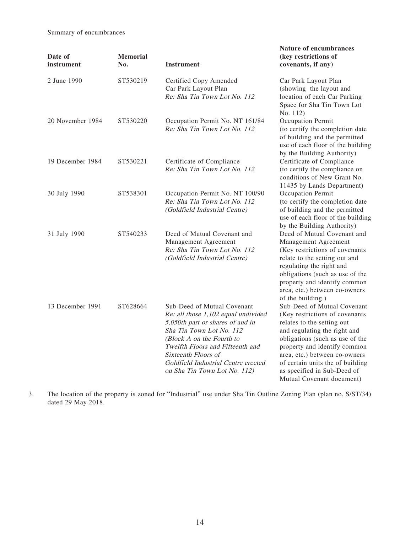Summary of encumbrances

| Date of<br>instrument | <b>Memorial</b><br>No. | <b>Instrument</b>                                                                                                                                                                                                                                                                                 | Nature of encumbrances<br>(key restrictions of<br>covenants, if any)                                                                                                                                                                                                                                                            |
|-----------------------|------------------------|---------------------------------------------------------------------------------------------------------------------------------------------------------------------------------------------------------------------------------------------------------------------------------------------------|---------------------------------------------------------------------------------------------------------------------------------------------------------------------------------------------------------------------------------------------------------------------------------------------------------------------------------|
| 2 June 1990           | ST530219               | Certified Copy Amended<br>Car Park Layout Plan<br>Re: Sha Tin Town Lot No. 112                                                                                                                                                                                                                    | Car Park Layout Plan<br>(showing the layout and<br>location of each Car Parking<br>Space for Sha Tin Town Lot<br>No. 112)                                                                                                                                                                                                       |
| 20 November 1984      | ST530220               | Occupation Permit No. NT 161/84<br>Re: Sha Tin Town Lot No. 112                                                                                                                                                                                                                                   | Occupation Permit<br>(to certify the completion date<br>of building and the permitted<br>use of each floor of the building<br>by the Building Authority)                                                                                                                                                                        |
| 19 December 1984      | ST530221               | Certificate of Compliance<br>Re: Sha Tin Town Lot No. 112                                                                                                                                                                                                                                         | Certificate of Compliance<br>(to certify the compliance on<br>conditions of New Grant No.<br>11435 by Lands Department)                                                                                                                                                                                                         |
| 30 July 1990          | ST538301               | Occupation Permit No. NT 100/90<br>Re: Sha Tin Town Lot No. 112<br>(Goldfield Industrial Centre)                                                                                                                                                                                                  | Occupation Permit<br>(to certify the completion date<br>of building and the permitted<br>use of each floor of the building<br>by the Building Authority)                                                                                                                                                                        |
| 31 July 1990          | ST540233               | Deed of Mutual Covenant and<br>Management Agreement<br>Re: Sha Tin Town Lot No. 112<br>(Goldfield Industrial Centre)                                                                                                                                                                              | Deed of Mutual Covenant and<br>Management Agreement<br>(Key restrictions of covenants<br>relate to the setting out and<br>regulating the right and<br>obligations (such as use of the<br>property and identify common<br>area, etc.) between co-owners<br>of the building.)                                                     |
| 13 December 1991      | ST628664               | Sub-Deed of Mutual Covenant<br>Re: all those 1,102 equal undivided<br>5,050th part or shares of and in<br>Sha Tin Town Lot No. 112<br>(Block A on the Fourth to<br>Twelfth Floors and Fifteenth and<br>Sixteenth Floors of<br>Goldfield Industrial Centre erected<br>on Sha Tin Town Lot No. 112) | Sub-Deed of Mutual Covenant<br>(Key restrictions of covenants<br>relates to the setting out<br>and regulating the right and<br>obligations (such as use of the<br>property and identify common<br>area, etc.) between co-owners<br>of certain units the of building<br>as specified in Sub-Deed of<br>Mutual Covenant document) |

3. The location of the property is zoned for "Industrial" use under Sha Tin Outline Zoning Plan (plan no. S/ST/34) dated 29 May 2018.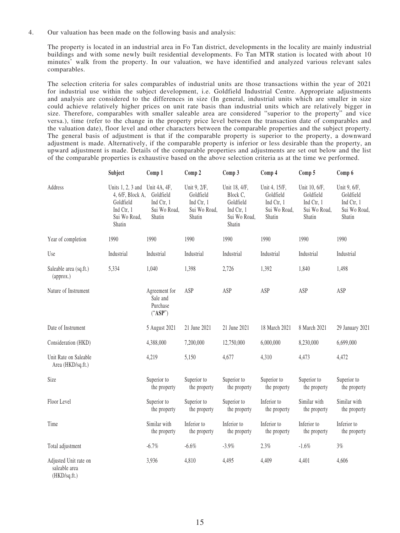4. Our valuation has been made on the following basis and analysis:

The property is located in an industrial area in Fo Tan district, developments in the locality are mainly industrial buildings and with some newly built residential developments. Fo Tan MTR station is located with about 10 minutes' walk from the property. In our valuation, we have identified and analyzed various relevant sales comparables.

The selection criteria for sales comparables of industrial units are those transactions within the year of 2021 for industrial use within the subject development, i.e. Goldfield Industrial Centre. Appropriate adjustments and analysis are considered to the differences in size (In general, industrial units which are smaller in size could achieve relatively higher prices on unit rate basis than industrial units which are relatively bigger in size. Therefore, comparables with smaller saleable area are considered "superior to the property" and vice versa.), time (refer to the change in the property price level between the transaction date of comparables and the valuation date), floor level and other characters between the comparable properties and the subject property. The general basis of adjustment is that if the comparable property is superior to the property, a downward adjustment is made. Alternatively, if the comparable property is inferior or less desirable than the property, an upward adjustment is made. Details of the comparable properties and adjustments are set out below and the list of the comparable properties is exhaustive based on the above selection criteria as at the time we performed.

|                                                        | Subject                                                                                      | Comp 1                                                            | Comp 2                                                            | Comp 3                                                                         | Comp 4                                                             | Comp 5                                                             | Comp 6                                                            |
|--------------------------------------------------------|----------------------------------------------------------------------------------------------|-------------------------------------------------------------------|-------------------------------------------------------------------|--------------------------------------------------------------------------------|--------------------------------------------------------------------|--------------------------------------------------------------------|-------------------------------------------------------------------|
| Address                                                | Units $1, 2, 3$ and<br>4, 6/F, Block A,<br>Goldfield<br>Ind Ctr, 1<br>Sui Wo Road,<br>Shatin | Unit 4A, 4F,<br>Goldfield<br>Ind Ctr, 1<br>Sui Wo Road,<br>Shatin | Unit 9, 2/F,<br>Goldfield<br>Ind Ctr, 1<br>Sui Wo Road,<br>Shatin | Unit 18, 4/F,<br>Block C.<br>Goldfield<br>Ind Ctr, 1<br>Sui Wo Road,<br>Shatin | Unit 4, 15/F,<br>Goldfield<br>Ind Ctr, 1<br>Sui Wo Road,<br>Shatin | Unit 10, 6/F,<br>Goldfield<br>Ind Ctr, 1<br>Sui Wo Road,<br>Shatin | Unit 9, 6/F,<br>Goldfield<br>Ind Ctr, 1<br>Sui Wo Road,<br>Shatin |
| Year of completion                                     | 1990                                                                                         | 1990                                                              | 1990                                                              | 1990                                                                           | 1990                                                               | 1990                                                               | 1990                                                              |
| Use                                                    | Industrial                                                                                   | Industrial                                                        | Industrial                                                        | Industrial                                                                     | Industrial                                                         | Industrial                                                         | Industrial                                                        |
| Saleable area (sq.ft.)<br>(approx.)                    | 5,334                                                                                        | 1,040                                                             | 1,398                                                             | 2,726                                                                          | 1,392                                                              | 1,840                                                              | 1,498                                                             |
| Nature of Instrument                                   |                                                                                              | Agreement for<br>Sale and<br>Purchase<br>("ASP")                  | ASP                                                               | ASP                                                                            | ASP                                                                | ASP                                                                | ASP                                                               |
| Date of Instrument                                     |                                                                                              | 5 August 2021                                                     | 21 June 2021                                                      | 21 June 2021                                                                   | 18 March 2021                                                      | 8 March 2021                                                       | 29 January 2021                                                   |
| Consideration (HKD)                                    |                                                                                              | 4,388,000                                                         | 7,200,000                                                         | 12,750,000                                                                     | 6,000,000                                                          | 8,230,000                                                          | 6,699,000                                                         |
| Unit Rate on Saleable<br>Area (HKD/sq.ft.)             |                                                                                              | 4,219                                                             | 5,150                                                             | 4,677                                                                          | 4,310                                                              | 4,473                                                              | 4,472                                                             |
| Size                                                   |                                                                                              | Superior to<br>the property                                       | Superior to<br>the property                                       | Superior to<br>the property                                                    | Superior to<br>the property                                        | Superior to<br>the property                                        | Superior to<br>the property                                       |
| Floor Level                                            |                                                                                              | Superior to<br>the property                                       | Superior to<br>the property                                       | Superior to<br>the property                                                    | Inferior to<br>the property                                        | Similar with<br>the property                                       | Similar with<br>the property                                      |
| Time                                                   |                                                                                              | Similar with<br>the property                                      | Inferior to<br>the property                                       | Inferior to<br>the property                                                    | Inferior to<br>the property                                        | Inferior to<br>the property                                        | Inferior to<br>the property                                       |
| Total adjustment                                       |                                                                                              | $-6.7%$                                                           | $-6.6%$                                                           | $-3.9%$                                                                        | 2.3%                                                               | $-1.6%$                                                            | 3%                                                                |
| Adjusted Unit rate on<br>saleable area<br>(HKD/sq.fr.) |                                                                                              | 3,936                                                             | 4,810                                                             | 4,495                                                                          | 4,409                                                              | 4,401                                                              | 4,606                                                             |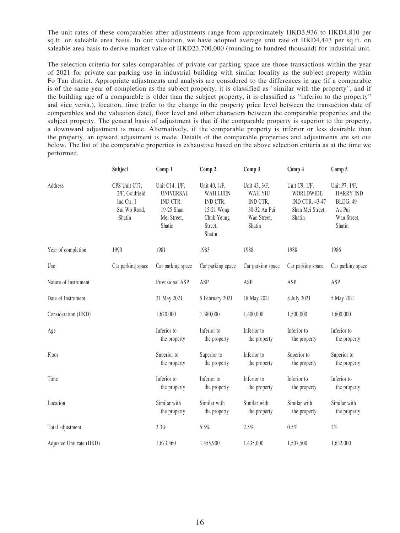The unit rates of these comparables after adjustments range from approximately HKD3,936 to HKD4,810 per sq.ft. on saleable area basis. In our valuation, we have adopted average unit rate of HKD4,443 per sq.ft. on saleable area basis to derive market value of HKD23,700,000 (rounding to hundred thousand) for industrial unit.

The selection criteria for sales comparables of private car parking space are those transactions within the year of 2021 for private car parking use in industrial building with similar locality as the subject property within Fo Tan district. Appropriate adjustments and analysis are considered to the differences in age (if a comparable is of the same year of completion as the subject property, it is classified as "similar with the property", and if the building age of a comparable is older than the subject property, it is classified as "inferior to the property" and vice versa.), location, time (refer to the change in the property price level between the transaction date of comparables and the valuation date), floor level and other characters between the comparable properties and the subject property. The general basis of adjustment is that if the comparable property is superior to the property, a downward adjustment is made. Alternatively, if the comparable property is inferior or less desirable than the property, an upward adjustment is made. Details of the comparable properties and adjustments are set out below. The list of the comparable properties is exhaustive based on the above selection criteria as at the time we performed.

|                          | Subject                                                                 | Comp 1                                                                                | Comp 2                                                                                        | Comp 3                                                                               | Comp 4                                                                     | Comp 5                                                                           |
|--------------------------|-------------------------------------------------------------------------|---------------------------------------------------------------------------------------|-----------------------------------------------------------------------------------------------|--------------------------------------------------------------------------------------|----------------------------------------------------------------------------|----------------------------------------------------------------------------------|
| Address                  | CPS Unit C17,<br>2/F, Goldfield<br>Ind Ctr, 1<br>Sui Wo Road,<br>Shatin | Unit C14, 1/F,<br><b>UNIVERSAL</b><br>IND CTR,<br>19-25 Shan<br>Mei Street,<br>Shatin | Unit 40, 1/F,<br><b>WAH LUEN</b><br>IND CTR,<br>15-21 Wong<br>Chuk Yeung<br>Street,<br>Shatin | Unit 43, 3/F,<br><b>WAH YIU</b><br>IND CTR,<br>30-32 Au Pui<br>Wan Street,<br>Shatin | Unit C9, 1/F,<br>WORLDWIDE<br>IND CTR, 43-47<br>Shan Mei Street,<br>Shatin | Unit P7, 1/F,<br><b>HARRY IND</b><br>BLDG, 49<br>Au Pui<br>Wan Street,<br>Shatin |
| Year of completion       | 1990                                                                    | 1981                                                                                  | 1983                                                                                          | 1988                                                                                 | 1988                                                                       | 1986                                                                             |
| Use                      | Car parking space                                                       | Car parking space                                                                     | Car parking space                                                                             | Car parking space                                                                    | Car parking space                                                          | Car parking space                                                                |
| Nature of Instrument     |                                                                         | Provisional ASP                                                                       | ASP                                                                                           | ASP                                                                                  | ASP                                                                        | ASP                                                                              |
| Date of Instrument       |                                                                         | 31 May 2021                                                                           | 5 February 2021                                                                               | 18 May 2021                                                                          | 8 July 2021                                                                | 5 May 2021                                                                       |
| Consideration (HKD)      |                                                                         | 1,620,000                                                                             | 1,380,000                                                                                     | 1,400,000                                                                            | 1,500,000                                                                  | 1,600,000                                                                        |
| Age                      |                                                                         | Inferior to<br>the property                                                           | Inferior to<br>the property                                                                   | Inferior to<br>the property                                                          | Inferior to<br>the property                                                | Inferior to<br>the property                                                      |
| Floor                    |                                                                         | Superior to<br>the property                                                           | Superior to<br>the property                                                                   | Inferior to<br>the property                                                          | Superior to<br>the property                                                | Superior to<br>the property                                                      |
| Time                     |                                                                         | Inferior to<br>the property                                                           | Inferior to<br>the property                                                                   | Inferior to<br>the property                                                          | Inferior to<br>the property                                                | Inferior to<br>the property                                                      |
| Location                 |                                                                         | Similar with<br>the property                                                          | Similar with<br>the property                                                                  | Similar with<br>the property                                                         | Similar with<br>the property                                               | Similar with<br>the property                                                     |
| Total adjustment         |                                                                         | 3.3%                                                                                  | 5.5%                                                                                          | 2.5%                                                                                 | $0.5\%$                                                                    | $2\%$                                                                            |
| Adjusted Unit rate (HKD) |                                                                         | 1,673,460                                                                             | 1,455,900                                                                                     | 1,435,000                                                                            | 1,507,500                                                                  | 1,632,000                                                                        |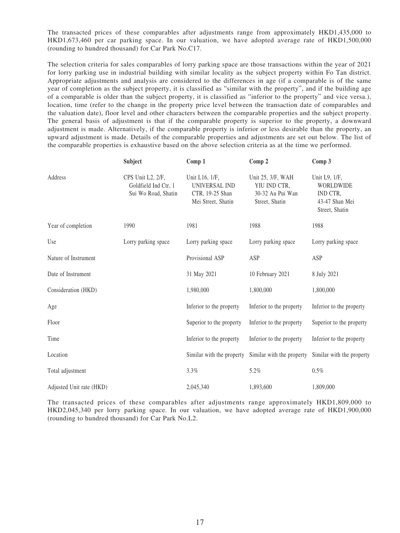The transacted prices of these comparables after adjustments range from approximately HKD1,435,000 to HKD1,673,460 per car parking space. In our valuation, we have adopted average rate of HKD1,500,000 (rounding to hundred thousand) for Car Park No.C17.

The selection criteria for sales comparables of lorry parking space are those transactions within the year of 2021 for lorry parking use in industrial building with similar locality as the subject property within Fo Tan district. Appropriate adjustments and analysis are considered to the differences in age (if a comparable is of the same year of completion as the subject property, it is classified as "similar with the property", and if the building age of a comparable is older than the subject property, it is classified as "inferior to the property" and vice versa.), location, time (refer to the change in the property price level between the transaction date of comparables and the valuation date), floor level and other characters between the comparable properties and the subject property. The general basis of adjustment is that if the comparable property is superior to the property, a downward adjustment is made. Alternatively, if the comparable property is inferior or less desirable than the property, an upward adjustment is made. Details of the comparable properties and adjustments are set out below. The list of the comparable properties is exhaustive based on the above selection criteria as at the time we performed.

|                          | Subject                                                          | Comp 1                                                                          | Comp 2                                                                  | Comp 3                                                                     |
|--------------------------|------------------------------------------------------------------|---------------------------------------------------------------------------------|-------------------------------------------------------------------------|----------------------------------------------------------------------------|
| Address                  | CPS Unit L2, 2/F,<br>Goldfield Ind Ctr, 1<br>Sui Wo Road, Shatin | Unit L16, 1/F,<br><b>UNIVERSAL IND</b><br>CTR, 19-25 Shan<br>Mei Street, Shatin | Unit 25, 3/F, WAH<br>YIU IND CTR,<br>30-32 Au Pui Wan<br>Street, Shatin | Unit L9, 1/F,<br>WORLDWIDE<br>IND CTR,<br>43-47 Shan Mei<br>Street, Shatin |
| Year of completion       | 1990                                                             | 1981                                                                            | 1988                                                                    | 1988                                                                       |
| Use                      | Lorry parking space                                              | Lorry parking space                                                             | Lorry parking space                                                     | Lorry parking space                                                        |
| Nature of Instrument     |                                                                  | Provisional ASP                                                                 | ASP                                                                     | ASP                                                                        |
| Date of Instrument       |                                                                  | 31 May 2021                                                                     | 10 February 2021                                                        | 8 July 2021                                                                |
| Consideration (HKD)      |                                                                  | 1,980,000                                                                       | 1,800,000                                                               | 1,800,000                                                                  |
| Age                      |                                                                  | Inferior to the property                                                        | Inferior to the property                                                | Inferior to the property                                                   |
| Floor                    |                                                                  | Superior to the property                                                        | Inferior to the property                                                | Superior to the property                                                   |
| Time                     |                                                                  | Inferior to the property                                                        | Inferior to the property                                                | Inferior to the property                                                   |
| Location                 |                                                                  | Similar with the property                                                       | Similar with the property                                               | Similar with the property                                                  |
| Total adjustment         |                                                                  | 3.3%                                                                            | 5.2%                                                                    | 0.5%                                                                       |
| Adjusted Unit rate (HKD) |                                                                  | 2,045,340                                                                       | 1,893,600                                                               | 1,809,000                                                                  |

The transacted prices of these comparables after adjustments range approximately HKD1,809,000 to HKD2,045,340 per lorry parking space. In our valuation, we have adopted average rate of HKD1,900,000 (rounding to hundred thousand) for Car Park No.L2.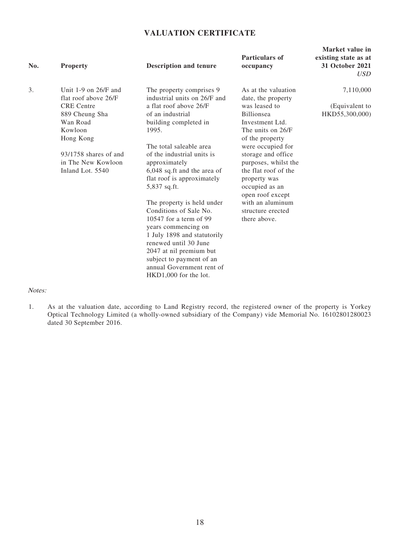## **VALUATION CERTIFICATE**

| No. | <b>Property</b>                                                                                   | <b>Description and tenure</b>                                                                                                   | Particulars of<br>occupancy                                                                 | Market value in<br>existing state as at<br>31 October 2021<br><b>USD</b> |
|-----|---------------------------------------------------------------------------------------------------|---------------------------------------------------------------------------------------------------------------------------------|---------------------------------------------------------------------------------------------|--------------------------------------------------------------------------|
| 3.  | Unit 1-9 on $26/F$ and<br>flat roof above 26/F<br><b>CRE</b> Centre<br>889 Cheung Sha<br>Wan Road | The property comprises 9<br>industrial units on 26/F and<br>a flat roof above 26/F<br>of an industrial<br>building completed in | As at the valuation<br>date, the property<br>was leased to<br>Billionsea<br>Investment Ltd. | 7,110,000<br>(Equivalent to<br>HKD55,300,000)                            |
|     | Kowloon<br>Hong Kong                                                                              | 1995.<br>The total saleable area                                                                                                | The units on 26/F<br>of the property<br>were occupied for                                   |                                                                          |
|     | 93/1758 shares of and<br>in The New Kowloon<br>Inland Lot. 5540                                   | of the industrial units is<br>approximately<br>6,048 sq.ft and the area of                                                      | storage and office<br>purposes, whilst the<br>the flat roof of the                          |                                                                          |
|     |                                                                                                   | flat roof is approximately<br>5,837 sq.ft.                                                                                      | property was<br>occupied as an<br>open roof except                                          |                                                                          |
|     |                                                                                                   | The property is held under<br>Conditions of Sale No.                                                                            | with an aluminum<br>structure erected                                                       |                                                                          |
|     |                                                                                                   | 10547 for a term of 99<br>years commencing on<br>1 July 1898 and statutorily                                                    | there above.                                                                                |                                                                          |
|     |                                                                                                   | renewed until 30 June<br>2047 at nil premium but<br>subject to payment of an                                                    |                                                                                             |                                                                          |
|     |                                                                                                   | annual Government rent of<br>HKD1,000 for the lot.                                                                              |                                                                                             |                                                                          |

#### Notes:

1. As at the valuation date, according to Land Registry record, the registered owner of the property is Yorkey Optical Technology Limited (a wholly-owned subsidiary of the Company) vide Memorial No. 16102801280023 dated 30 September 2016.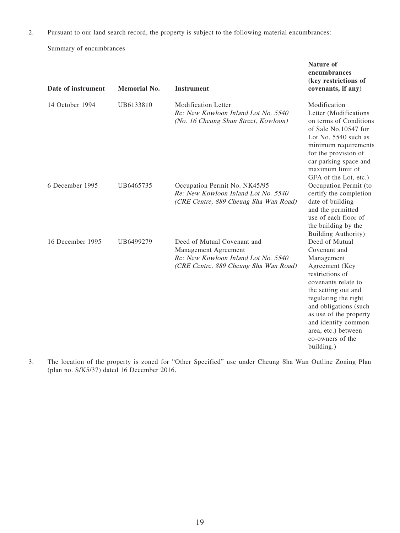2. Pursuant to our land search record, the property is subject to the following material encumbrances:

Summary of encumbrances

| Date of instrument | <b>Memorial No.</b> | <b>Instrument</b>                                                                                                                   | encumbrances<br>(key restrictions of<br>covenants, if any)                                                                                                                                                                                                                                 |
|--------------------|---------------------|-------------------------------------------------------------------------------------------------------------------------------------|--------------------------------------------------------------------------------------------------------------------------------------------------------------------------------------------------------------------------------------------------------------------------------------------|
| 14 October 1994    | UB6133810           | <b>Modification Letter</b><br>Re: New Kowloon Inland Lot No. 5540<br>(No. 16 Cheung Shun Street, Kowloon)                           | Modification<br>Letter (Modifications<br>on terms of Conditions<br>of Sale No.10547 for<br>Lot No. $5540$ such as<br>minimum requirements<br>for the provision of<br>car parking space and<br>maximum limit of<br>GFA of the Lot, etc.)                                                    |
| 6 December 1995    | UB6465735           | Occupation Permit No. NK45/95<br>Re: New Kowloon Inland Lot No. 5540<br>(CRE Centre, 889 Cheung Sha Wan Road)                       | Occupation Permit (to<br>certify the completion<br>date of building<br>and the permitted<br>use of each floor of<br>the building by the<br>Building Authority)                                                                                                                             |
| 16 December 1995   | UB6499279           | Deed of Mutual Covenant and<br>Management Agreement<br>Re: New Kowloon Inland Lot No. 5540<br>(CRE Centre, 889 Cheung Sha Wan Road) | Deed of Mutual<br>Covenant and<br>Management<br>Agreement (Key<br>restrictions of<br>covenants relate to<br>the setting out and<br>regulating the right<br>and obligations (such<br>as use of the property<br>and identify common<br>area, etc.) between<br>co-owners of the<br>building.) |

**Nature of** 

3. The location of the property is zoned for "Other Specified" use under Cheung Sha Wan Outline Zoning Plan (plan no. S/K5/37) dated 16 December 2016.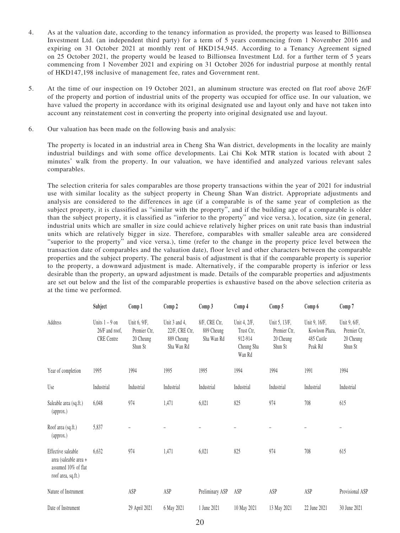- 4. As at the valuation date, according to the tenancy information as provided, the property was leased to Billionsea Investment Ltd. (an independent third party) for a term of 5 years commencing from 1 November 2016 and expiring on 31 October 2021 at monthly rent of HKD154,945. According to a Tenancy Agreement signed on 25 October 2021, the property would be leased to Billionsea Investment Ltd. for a further term of 5 years commencing from 1 November 2021 and expiring on 31 October 2026 for industrial purpose at monthly rental of HKD147,198 inclusive of management fee, rates and Government rent.
- 5. At the time of our inspection on 19 October 2021, an aluminum structure was erected on flat roof above 26/F of the property and portion of industrial units of the property was occupied for office use. In our valuation, we have valued the property in accordance with its original designated use and layout only and have not taken into account any reinstatement cost in converting the property into original designated use and layout.
- 6. Our valuation has been made on the following basis and analysis:

The property is located in an industrial area in Cheng Sha Wan district, developments in the locality are mainly industrial buildings and with some office developments. Lai Chi Kok MTR station is located with about 2 minutes' walk from the property. In our valuation, we have identified and analyzed various relevant sales comparables.

The selection criteria for sales comparables are those property transactions within the year of 2021 for industrial use with similar locality as the subject property in Cheung Shan Wan district. Appropriate adjustments and analysis are considered to the differences in age (if a comparable is of the same year of completion as the subject property, it is classified as "similar with the property", and if the building age of a comparable is older than the subject property, it is classified as "inferior to the property" and vice versa.), location, size (in general, industrial units which are smaller in size could achieve relatively higher prices on unit rate basis than industrial units which are relatively bigger in size. Therefore, comparables with smaller saleable area are considered "superior to the property" and vice versa.), time (refer to the change in the property price level between the transaction date of comparables and the valuation date), floor level and other characters between the comparable properties and the subject property. The general basis of adjustment is that if the comparable property is superior to the property, a downward adjustment is made. Alternatively, if the comparable property is inferior or less desirable than the property, an upward adjustment is made. Details of the comparable properties and adjustments are set out below and the list of the comparable properties is exhaustive based on the above selection criteria as at the time we performed.

|                                                                                          | Subject                                                 | Comp 1                                               | Comp 2                                                      | Comp 3                                    | Comp 4                                                        | Comp 5                                                | Comp 6                                                   | Comp 7                                               |
|------------------------------------------------------------------------------------------|---------------------------------------------------------|------------------------------------------------------|-------------------------------------------------------------|-------------------------------------------|---------------------------------------------------------------|-------------------------------------------------------|----------------------------------------------------------|------------------------------------------------------|
| Address                                                                                  | Units $1 - 9$ on<br>26/F and roof,<br><b>CRE</b> Centre | Unit 6, 9/F,<br>Premier Ctr.<br>20 Cheung<br>Shun St | Unit 3 and 4,<br>22/F, CRE Ctr,<br>889 Cheung<br>Sha Wan Rd | 8/F, CRE Ctr,<br>889 Cheung<br>Sha Wan Rd | Unit 4, 2/F,<br>Trust Ctr,<br>912-914<br>Cheung Sha<br>Wan Rd | Unit 5, 13/F,<br>Premier Ctr,<br>20 Cheung<br>Shun St | Unit 9, 16/F,<br>Kowloon Plaza,<br>485 Castle<br>Peak Rd | Unit 9, 6/F,<br>Premier Ctr,<br>20 Cheung<br>Shun St |
| Year of completion                                                                       | 1995                                                    | 1994                                                 | 1995                                                        | 1995                                      | 1994                                                          | 1994                                                  | 1991                                                     | 1994                                                 |
| Use                                                                                      | Industrial                                              | Industrial                                           | Industrial                                                  | Industrial                                | Industrial                                                    | Industrial                                            | Industrial                                               | Industrial                                           |
| Saleable area (sq.ft.)<br>(approx.)                                                      | 6,048                                                   | 974                                                  | 1,471                                                       | 6,021                                     | 825                                                           | 974                                                   | 708                                                      | 615                                                  |
| Roof area (sq.ft.)<br>(approx.)                                                          | 5,837                                                   |                                                      |                                                             |                                           |                                                               |                                                       |                                                          |                                                      |
| Effective saleable<br>area (saleable area +<br>assumed 10% of flat<br>roof area, sq.ft.) | 6,632                                                   | 974                                                  | 1,471                                                       | 6,021                                     | 825                                                           | 974                                                   | 708                                                      | 615                                                  |
| Nature of Instrument                                                                     |                                                         | ASP                                                  | ASP                                                         | Preliminary ASP                           | ASP                                                           | ASP                                                   | ASP                                                      | Provisional ASP                                      |
| Date of Instrument                                                                       |                                                         | 29 April 2021                                        | 6 May 2021                                                  | 1 June 2021                               | 10 May 2021                                                   | 13 May 2021                                           | 22 June 2021                                             | 30 June 2021                                         |